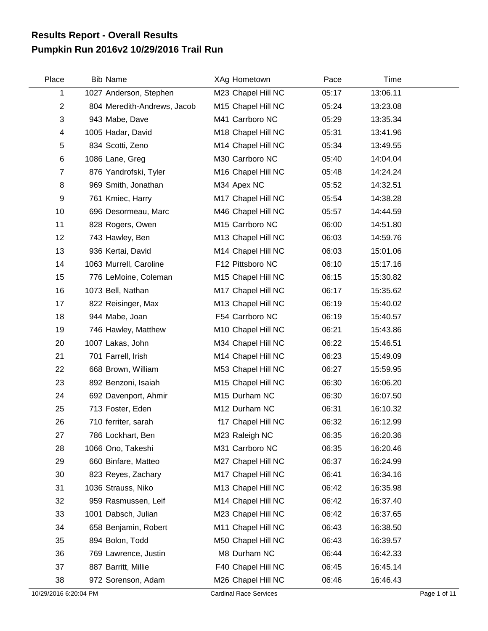## **Pumpkin Run 2016v2 10/29/2016 Trail Run Results Report - Overall Results**

| Place          | <b>Bib Name</b>             | XAg Hometown       | Pace  | Time     |  |
|----------------|-----------------------------|--------------------|-------|----------|--|
| 1              | 1027 Anderson, Stephen      | M23 Chapel Hill NC | 05:17 | 13:06.11 |  |
| $\overline{c}$ | 804 Meredith-Andrews, Jacob | M15 Chapel Hill NC | 05:24 | 13:23.08 |  |
| 3              | 943 Mabe, Dave              | M41 Carrboro NC    | 05:29 | 13:35.34 |  |
| 4              | 1005 Hadar, David           | M18 Chapel Hill NC | 05:31 | 13:41.96 |  |
| 5              | 834 Scotti, Zeno            | M14 Chapel Hill NC | 05:34 | 13:49.55 |  |
| 6              | 1086 Lane, Greg             | M30 Carrboro NC    | 05:40 | 14:04.04 |  |
| 7              | 876 Yandrofski, Tyler       | M16 Chapel Hill NC | 05:48 | 14:24.24 |  |
| 8              | 969 Smith, Jonathan         | M34 Apex NC        | 05:52 | 14:32.51 |  |
| 9              | 761 Kmiec, Harry            | M17 Chapel Hill NC | 05:54 | 14:38.28 |  |
| 10             | 696 Desormeau, Marc         | M46 Chapel Hill NC | 05:57 | 14:44.59 |  |
| 11             | 828 Rogers, Owen            | M15 Carrboro NC    | 06:00 | 14:51.80 |  |
| 12             | 743 Hawley, Ben             | M13 Chapel Hill NC | 06:03 | 14:59.76 |  |
| 13             | 936 Kertai, David           | M14 Chapel Hill NC | 06:03 | 15:01.06 |  |
| 14             | 1063 Murrell, Caroline      | F12 Pittsboro NC   | 06:10 | 15:17.16 |  |
| 15             | 776 LeMoine, Coleman        | M15 Chapel Hill NC | 06:15 | 15:30.82 |  |
| 16             | 1073 Bell, Nathan           | M17 Chapel Hill NC | 06:17 | 15:35.62 |  |
| 17             | 822 Reisinger, Max          | M13 Chapel Hill NC | 06:19 | 15:40.02 |  |
| 18             | 944 Mabe, Joan              | F54 Carrboro NC    | 06:19 | 15:40.57 |  |
| 19             | 746 Hawley, Matthew         | M10 Chapel Hill NC | 06:21 | 15:43.86 |  |
| 20             | 1007 Lakas, John            | M34 Chapel Hill NC | 06:22 | 15:46.51 |  |
| 21             | 701 Farrell, Irish          | M14 Chapel Hill NC | 06:23 | 15:49.09 |  |
| 22             | 668 Brown, William          | M53 Chapel Hill NC | 06:27 | 15:59.95 |  |
| 23             | 892 Benzoni, Isaiah         | M15 Chapel Hill NC | 06:30 | 16:06.20 |  |
| 24             | 692 Davenport, Ahmir        | M15 Durham NC      | 06:30 | 16:07.50 |  |
| 25             | 713 Foster, Eden            | M12 Durham NC      | 06:31 | 16:10.32 |  |
| 26             | 710 ferriter, sarah         | f17 Chapel Hill NC | 06:32 | 16:12.99 |  |
| 27             | 786 Lockhart, Ben           | M23 Raleigh NC     | 06:35 | 16:20.36 |  |
| 28             | 1066 Ono, Takeshi           | M31 Carrboro NC    | 06:35 | 16:20.46 |  |
| 29             | 660 Binfare, Matteo         | M27 Chapel Hill NC | 06:37 | 16:24.99 |  |
| 30             | 823 Reyes, Zachary          | M17 Chapel Hill NC | 06:41 | 16:34.16 |  |
| 31             | 1036 Strauss, Niko          | M13 Chapel Hill NC | 06:42 | 16:35.98 |  |
| 32             | 959 Rasmussen, Leif         | M14 Chapel Hill NC | 06:42 | 16:37.40 |  |
| 33             | 1001 Dabsch, Julian         | M23 Chapel Hill NC | 06:42 | 16:37.65 |  |
| 34             | 658 Benjamin, Robert        | M11 Chapel Hill NC | 06:43 | 16:38.50 |  |
| 35             | 894 Bolon, Todd             | M50 Chapel Hill NC | 06:43 | 16:39.57 |  |
| 36             | 769 Lawrence, Justin        | M8 Durham NC       | 06:44 | 16:42.33 |  |
| 37             | 887 Barritt, Millie         | F40 Chapel Hill NC | 06:45 | 16:45.14 |  |
| 38             | 972 Sorenson, Adam          | M26 Chapel Hill NC | 06:46 | 16:46.43 |  |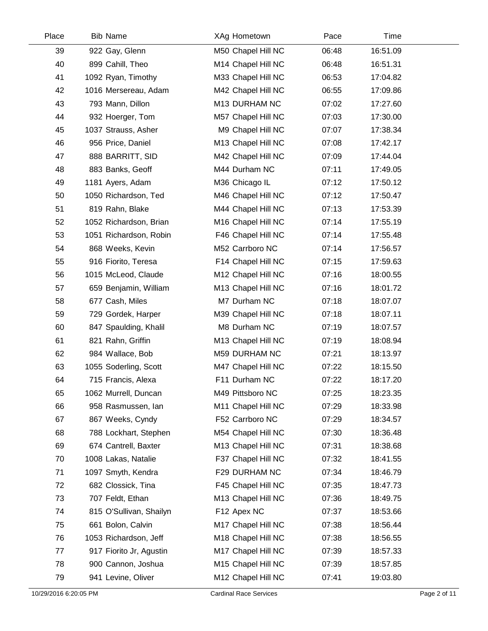| Place | <b>Bib Name</b>         | XAg Hometown       | Pace  | Time     |  |
|-------|-------------------------|--------------------|-------|----------|--|
| 39    | 922 Gay, Glenn          | M50 Chapel Hill NC | 06:48 | 16:51.09 |  |
| 40    | 899 Cahill, Theo        | M14 Chapel Hill NC | 06:48 | 16:51.31 |  |
| 41    | 1092 Ryan, Timothy      | M33 Chapel Hill NC | 06:53 | 17:04.82 |  |
| 42    | 1016 Mersereau, Adam    | M42 Chapel Hill NC | 06:55 | 17:09.86 |  |
| 43    | 793 Mann, Dillon        | M13 DURHAM NC      | 07:02 | 17:27.60 |  |
| 44    | 932 Hoerger, Tom        | M57 Chapel Hill NC | 07:03 | 17:30.00 |  |
| 45    | 1037 Strauss, Asher     | M9 Chapel Hill NC  | 07:07 | 17:38.34 |  |
| 46    | 956 Price, Daniel       | M13 Chapel Hill NC | 07:08 | 17:42.17 |  |
| 47    | 888 BARRITT, SID        | M42 Chapel Hill NC | 07:09 | 17:44.04 |  |
| 48    | 883 Banks, Geoff        | M44 Durham NC      | 07:11 | 17:49.05 |  |
| 49    | 1181 Ayers, Adam        | M36 Chicago IL     | 07:12 | 17:50.12 |  |
| 50    | 1050 Richardson, Ted    | M46 Chapel Hill NC | 07:12 | 17:50.47 |  |
| 51    | 819 Rahn, Blake         | M44 Chapel Hill NC | 07:13 | 17:53.39 |  |
| 52    | 1052 Richardson, Brian  | M16 Chapel Hill NC | 07:14 | 17:55.19 |  |
| 53    | 1051 Richardson, Robin  | F46 Chapel Hill NC | 07:14 | 17:55.48 |  |
| 54    | 868 Weeks, Kevin        | M52 Carrboro NC    | 07:14 | 17:56.57 |  |
| 55    | 916 Fiorito, Teresa     | F14 Chapel Hill NC | 07:15 | 17:59.63 |  |
| 56    | 1015 McLeod, Claude     | M12 Chapel Hill NC | 07:16 | 18:00.55 |  |
| 57    | 659 Benjamin, William   | M13 Chapel Hill NC | 07:16 | 18:01.72 |  |
| 58    | 677 Cash, Miles         | M7 Durham NC       | 07:18 | 18:07.07 |  |
| 59    | 729 Gordek, Harper      | M39 Chapel Hill NC | 07:18 | 18:07.11 |  |
| 60    | 847 Spaulding, Khalil   | M8 Durham NC       | 07:19 | 18:07.57 |  |
| 61    | 821 Rahn, Griffin       | M13 Chapel Hill NC | 07:19 | 18:08.94 |  |
| 62    | 984 Wallace, Bob        | M59 DURHAM NC      | 07:21 | 18:13.97 |  |
| 63    | 1055 Soderling, Scott   | M47 Chapel Hill NC | 07:22 | 18:15.50 |  |
| 64    | 715 Francis, Alexa      | F11 Durham NC      | 07:22 | 18:17.20 |  |
| 65    | 1062 Murrell, Duncan    | M49 Pittsboro NC   | 07:25 | 18:23.35 |  |
| 66    | 958 Rasmussen, lan      | M11 Chapel Hill NC | 07:29 | 18:33.98 |  |
| 67    | 867 Weeks, Cyndy        | F52 Carrboro NC    | 07:29 | 18:34.57 |  |
| 68    | 788 Lockhart, Stephen   | M54 Chapel Hill NC | 07:30 | 18:36.48 |  |
| 69    | 674 Cantrell, Baxter    | M13 Chapel Hill NC | 07:31 | 18:38.68 |  |
| 70    | 1008 Lakas, Natalie     | F37 Chapel Hill NC | 07:32 | 18:41.55 |  |
| 71    | 1097 Smyth, Kendra      | F29 DURHAM NC      | 07:34 | 18:46.79 |  |
| 72    | 682 Clossick, Tina      | F45 Chapel Hill NC | 07:35 | 18:47.73 |  |
| 73    | 707 Feldt, Ethan        | M13 Chapel Hill NC | 07:36 | 18:49.75 |  |
| 74    | 815 O'Sullivan, Shailyn | F12 Apex NC        | 07:37 | 18:53.66 |  |
| 75    | 661 Bolon, Calvin       | M17 Chapel Hill NC | 07:38 | 18:56.44 |  |
| 76    | 1053 Richardson, Jeff   | M18 Chapel Hill NC | 07:38 | 18:56.55 |  |
| 77    | 917 Fiorito Jr, Agustin | M17 Chapel Hill NC | 07:39 | 18:57.33 |  |
| 78    | 900 Cannon, Joshua      | M15 Chapel Hill NC | 07:39 | 18:57.85 |  |
| 79    | 941 Levine, Oliver      | M12 Chapel Hill NC | 07:41 | 19:03.80 |  |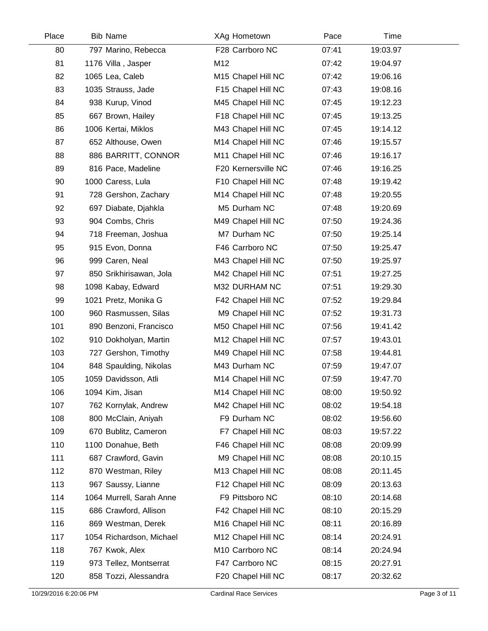| Place | <b>Bib Name</b>          | XAg Hometown        | Pace  | Time     |  |
|-------|--------------------------|---------------------|-------|----------|--|
| 80    | 797 Marino, Rebecca      | F28 Carrboro NC     | 07:41 | 19:03.97 |  |
| 81    | 1176 Villa, Jasper       | M12                 | 07:42 | 19:04.97 |  |
| 82    | 1065 Lea, Caleb          | M15 Chapel Hill NC  | 07:42 | 19:06.16 |  |
| 83    | 1035 Strauss, Jade       | F15 Chapel Hill NC  | 07:43 | 19:08.16 |  |
| 84    | 938 Kurup, Vinod         | M45 Chapel Hill NC  | 07:45 | 19:12.23 |  |
| 85    | 667 Brown, Hailey        | F18 Chapel Hill NC  | 07:45 | 19:13.25 |  |
| 86    | 1006 Kertai, Miklos      | M43 Chapel Hill NC  | 07:45 | 19:14.12 |  |
| 87    | 652 Althouse, Owen       | M14 Chapel Hill NC  | 07:46 | 19:15.57 |  |
| 88    | 886 BARRITT, CONNOR      | M11 Chapel Hill NC  | 07:46 | 19:16.17 |  |
| 89    | 816 Pace, Madeline       | F20 Kernersville NC | 07:46 | 19:16.25 |  |
| 90    | 1000 Caress, Lula        | F10 Chapel Hill NC  | 07:48 | 19:19.42 |  |
| 91    | 728 Gershon, Zachary     | M14 Chapel Hill NC  | 07:48 | 19:20.55 |  |
| 92    | 697 Diabate, Djahkla     | M5 Durham NC        | 07:48 | 19:20.69 |  |
| 93    | 904 Combs, Chris         | M49 Chapel Hill NC  | 07:50 | 19:24.36 |  |
| 94    | 718 Freeman, Joshua      | M7 Durham NC        | 07:50 | 19:25.14 |  |
| 95    | 915 Evon, Donna          | F46 Carrboro NC     | 07:50 | 19:25.47 |  |
| 96    | 999 Caren, Neal          | M43 Chapel Hill NC  | 07:50 | 19:25.97 |  |
| 97    | 850 Srikhirisawan, Jola  | M42 Chapel Hill NC  | 07:51 | 19:27.25 |  |
| 98    | 1098 Kabay, Edward       | M32 DURHAM NC       | 07:51 | 19:29.30 |  |
| 99    | 1021 Pretz, Monika G     | F42 Chapel Hill NC  | 07:52 | 19:29.84 |  |
| 100   | 960 Rasmussen, Silas     | M9 Chapel Hill NC   | 07:52 | 19:31.73 |  |
| 101   | 890 Benzoni, Francisco   | M50 Chapel Hill NC  | 07:56 | 19:41.42 |  |
| 102   | 910 Dokholyan, Martin    | M12 Chapel Hill NC  | 07:57 | 19:43.01 |  |
| 103   | 727 Gershon, Timothy     | M49 Chapel Hill NC  | 07:58 | 19:44.81 |  |
| 104   | 848 Spaulding, Nikolas   | M43 Durham NC       | 07:59 | 19:47.07 |  |
| 105   | 1059 Davidsson, Atli     | M14 Chapel Hill NC  | 07:59 | 19:47.70 |  |
| 106   | 1094 Kim, Jisan          | M14 Chapel Hill NC  | 08:00 | 19:50.92 |  |
| 107   | 762 Kornylak, Andrew     | M42 Chapel Hill NC  | 08:02 | 19:54.18 |  |
| 108   | 800 McClain, Aniyah      | F9 Durham NC        | 08:02 | 19:56.60 |  |
| 109   | 670 Bublitz, Cameron     | F7 Chapel Hill NC   | 08:03 | 19:57.22 |  |
| 110   | 1100 Donahue, Beth       | F46 Chapel Hill NC  | 08:08 | 20:09.99 |  |
| 111   | 687 Crawford, Gavin      | M9 Chapel Hill NC   | 08:08 | 20:10.15 |  |
| 112   | 870 Westman, Riley       | M13 Chapel Hill NC  | 08:08 | 20:11.45 |  |
| 113   | 967 Saussy, Lianne       | F12 Chapel Hill NC  | 08:09 | 20:13.63 |  |
| 114   | 1064 Murrell, Sarah Anne | F9 Pittsboro NC     | 08:10 | 20:14.68 |  |
| 115   | 686 Crawford, Allison    | F42 Chapel Hill NC  | 08:10 | 20:15.29 |  |
| 116   | 869 Westman, Derek       | M16 Chapel Hill NC  | 08:11 | 20:16.89 |  |
| 117   | 1054 Richardson, Michael | M12 Chapel Hill NC  | 08:14 | 20:24.91 |  |
| 118   | 767 Kwok, Alex           | M10 Carrboro NC     | 08:14 | 20:24.94 |  |
| 119   | 973 Tellez, Montserrat   | F47 Carrboro NC     | 08:15 | 20:27.91 |  |
| 120   | 858 Tozzi, Alessandra    | F20 Chapel Hill NC  | 08:17 | 20:32.62 |  |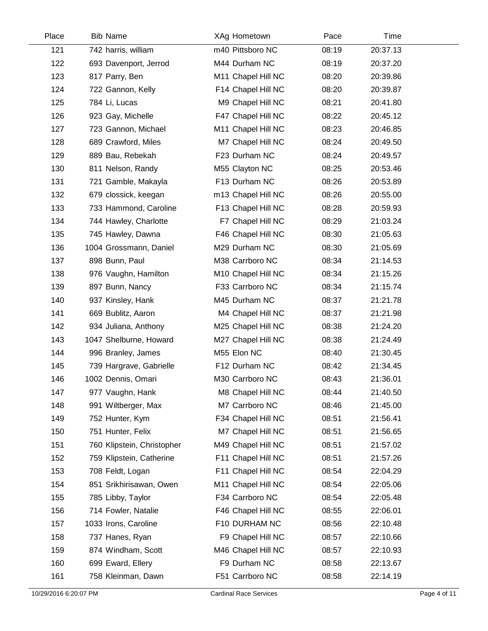| Place | <b>Bib Name</b>            | XAg Hometown       | Pace  | Time     |  |
|-------|----------------------------|--------------------|-------|----------|--|
| 121   | 742 harris, william        | m40 Pittsboro NC   | 08:19 | 20:37.13 |  |
| 122   | 693 Davenport, Jerrod      | M44 Durham NC      | 08:19 | 20:37.20 |  |
| 123   | 817 Parry, Ben             | M11 Chapel Hill NC | 08:20 | 20:39.86 |  |
| 124   | 722 Gannon, Kelly          | F14 Chapel Hill NC | 08:20 | 20:39.87 |  |
| 125   | 784 Li, Lucas              | M9 Chapel Hill NC  | 08:21 | 20:41.80 |  |
| 126   | 923 Gay, Michelle          | F47 Chapel Hill NC | 08:22 | 20:45.12 |  |
| 127   | 723 Gannon, Michael        | M11 Chapel Hill NC | 08:23 | 20:46.85 |  |
| 128   | 689 Crawford, Miles        | M7 Chapel Hill NC  | 08:24 | 20:49.50 |  |
| 129   | 889 Bau, Rebekah           | F23 Durham NC      | 08:24 | 20:49.57 |  |
| 130   | 811 Nelson, Randy          | M55 Clayton NC     | 08:25 | 20:53.46 |  |
| 131   | 721 Gamble, Makayla        | F13 Durham NC      | 08:26 | 20:53.89 |  |
| 132   | 679 clossick, keegan       | m13 Chapel Hill NC | 08:26 | 20:55.00 |  |
| 133   | 733 Hammond, Caroline      | F13 Chapel Hill NC | 08:28 | 20:59.93 |  |
| 134   | 744 Hawley, Charlotte      | F7 Chapel Hill NC  | 08:29 | 21:03.24 |  |
| 135   | 745 Hawley, Dawna          | F46 Chapel Hill NC | 08:30 | 21:05.63 |  |
| 136   | 1004 Grossmann, Daniel     | M29 Durham NC      | 08:30 | 21:05.69 |  |
| 137   | 898 Bunn, Paul             | M38 Carrboro NC    | 08:34 | 21:14.53 |  |
| 138   | 976 Vaughn, Hamilton       | M10 Chapel Hill NC | 08:34 | 21:15.26 |  |
| 139   | 897 Bunn, Nancy            | F33 Carrboro NC    | 08:34 | 21:15.74 |  |
| 140   | 937 Kinsley, Hank          | M45 Durham NC      | 08:37 | 21:21.78 |  |
| 141   | 669 Bublitz, Aaron         | M4 Chapel Hill NC  | 08:37 | 21:21.98 |  |
| 142   | 934 Juliana, Anthony       | M25 Chapel Hill NC | 08:38 | 21:24.20 |  |
| 143   | 1047 Shelburne, Howard     | M27 Chapel Hill NC | 08:38 | 21:24.49 |  |
| 144   | 996 Branley, James         | M55 Elon NC        | 08:40 | 21:30.45 |  |
| 145   | 739 Hargrave, Gabrielle    | F12 Durham NC      | 08:42 | 21:34.45 |  |
| 146   | 1002 Dennis, Omari         | M30 Carrboro NC    | 08:43 | 21:36.01 |  |
| 147   | 977 Vaughn, Hank           | M8 Chapel Hill NC  | 08:44 | 21:40.50 |  |
| 148   | 991 Wiltberger, Max        | M7 Carrboro NC     | 08:46 | 21:45.00 |  |
| 149   | 752 Hunter, Kym            | F34 Chapel Hill NC | 08:51 | 21:56.41 |  |
| 150   | 751 Hunter, Felix          | M7 Chapel Hill NC  | 08:51 | 21:56.65 |  |
| 151   | 760 Klipstein, Christopher | M49 Chapel Hill NC | 08:51 | 21:57.02 |  |
| 152   | 759 Klipstein, Catherine   | F11 Chapel Hill NC | 08:51 | 21:57.26 |  |
| 153   | 708 Feldt, Logan           | F11 Chapel Hill NC | 08:54 | 22:04.29 |  |
| 154   | 851 Srikhirisawan, Owen    | M11 Chapel Hill NC | 08:54 | 22:05.06 |  |
| 155   | 785 Libby, Taylor          | F34 Carrboro NC    | 08:54 | 22:05.48 |  |
| 156   | 714 Fowler, Natalie        | F46 Chapel Hill NC | 08:55 | 22:06.01 |  |
| 157   | 1033 Irons, Caroline       | F10 DURHAM NC      | 08:56 | 22:10.48 |  |
| 158   | 737 Hanes, Ryan            | F9 Chapel Hill NC  | 08:57 | 22:10.66 |  |
| 159   | 874 Windham, Scott         | M46 Chapel Hill NC | 08:57 | 22:10.93 |  |
| 160   | 699 Eward, Ellery          | F9 Durham NC       | 08:58 | 22:13.67 |  |
| 161   | 758 Kleinman, Dawn         | F51 Carrboro NC    | 08:58 | 22:14.19 |  |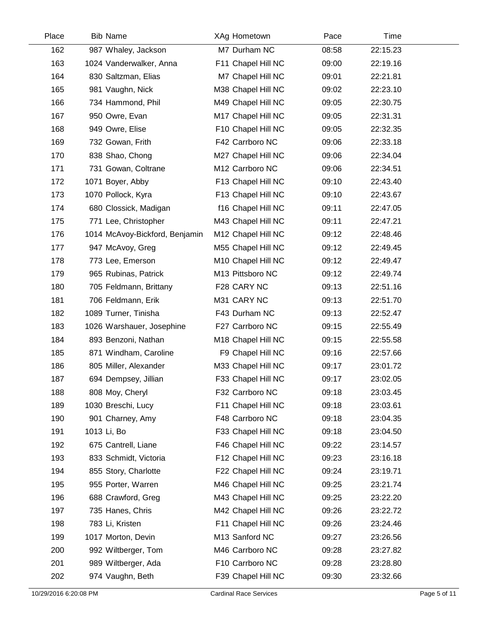| Place | <b>Bib Name</b>                | XAg Hometown       | Pace  | Time     |  |
|-------|--------------------------------|--------------------|-------|----------|--|
| 162   | 987 Whaley, Jackson            | M7 Durham NC       | 08:58 | 22:15.23 |  |
| 163   | 1024 Vanderwalker, Anna        | F11 Chapel Hill NC | 09:00 | 22:19.16 |  |
| 164   | 830 Saltzman, Elias            | M7 Chapel Hill NC  | 09:01 | 22:21.81 |  |
| 165   | 981 Vaughn, Nick               | M38 Chapel Hill NC | 09:02 | 22:23.10 |  |
| 166   | 734 Hammond, Phil              | M49 Chapel Hill NC | 09:05 | 22:30.75 |  |
| 167   | 950 Owre, Evan                 | M17 Chapel Hill NC | 09:05 | 22:31.31 |  |
| 168   | 949 Owre, Elise                | F10 Chapel Hill NC | 09:05 | 22:32.35 |  |
| 169   | 732 Gowan, Frith               | F42 Carrboro NC    | 09:06 | 22:33.18 |  |
| 170   | 838 Shao, Chong                | M27 Chapel Hill NC | 09:06 | 22:34.04 |  |
| 171   | 731 Gowan, Coltrane            | M12 Carrboro NC    | 09:06 | 22:34.51 |  |
| 172   | 1071 Boyer, Abby               | F13 Chapel Hill NC | 09:10 | 22:43.40 |  |
| 173   | 1070 Pollock, Kyra             | F13 Chapel Hill NC | 09:10 | 22:43.67 |  |
| 174   | 680 Clossick, Madigan          | f16 Chapel Hill NC | 09:11 | 22:47.05 |  |
| 175   | 771 Lee, Christopher           | M43 Chapel Hill NC | 09:11 | 22:47.21 |  |
| 176   | 1014 McAvoy-Bickford, Benjamin | M12 Chapel Hill NC | 09:12 | 22:48.46 |  |
| 177   | 947 McAvoy, Greg               | M55 Chapel Hill NC | 09:12 | 22:49.45 |  |
| 178   | 773 Lee, Emerson               | M10 Chapel Hill NC | 09:12 | 22:49.47 |  |
| 179   | 965 Rubinas, Patrick           | M13 Pittsboro NC   | 09:12 | 22:49.74 |  |
| 180   | 705 Feldmann, Brittany         | F28 CARY NC        | 09:13 | 22:51.16 |  |
| 181   | 706 Feldmann, Erik             | M31 CARY NC        | 09:13 | 22:51.70 |  |
| 182   | 1089 Turner, Tinisha           | F43 Durham NC      | 09:13 | 22:52.47 |  |
| 183   | 1026 Warshauer, Josephine      | F27 Carrboro NC    | 09:15 | 22:55.49 |  |
| 184   | 893 Benzoni, Nathan            | M18 Chapel Hill NC | 09:15 | 22:55.58 |  |
| 185   | 871 Windham, Caroline          | F9 Chapel Hill NC  | 09:16 | 22:57.66 |  |
| 186   | 805 Miller, Alexander          | M33 Chapel Hill NC | 09:17 | 23:01.72 |  |
| 187   | 694 Dempsey, Jillian           | F33 Chapel Hill NC | 09:17 | 23:02.05 |  |
| 188   | 808 Moy, Cheryl                | F32 Carrboro NC    | 09:18 | 23:03.45 |  |
| 189   | 1030 Breschi, Lucy             | F11 Chapel Hill NC | 09:18 | 23:03.61 |  |
| 190   | 901 Charney, Amy               | F48 Carrboro NC    | 09:18 | 23:04.35 |  |
| 191   | 1013 Li, Bo                    | F33 Chapel Hill NC | 09:18 | 23:04.50 |  |
| 192   | 675 Cantrell, Liane            | F46 Chapel Hill NC | 09:22 | 23:14.57 |  |
| 193   | 833 Schmidt, Victoria          | F12 Chapel Hill NC | 09:23 | 23:16.18 |  |
| 194   | 855 Story, Charlotte           | F22 Chapel Hill NC | 09:24 | 23:19.71 |  |
| 195   | 955 Porter, Warren             | M46 Chapel Hill NC | 09:25 | 23:21.74 |  |
| 196   | 688 Crawford, Greg             | M43 Chapel Hill NC | 09:25 | 23:22.20 |  |
| 197   | 735 Hanes, Chris               | M42 Chapel Hill NC | 09:26 | 23:22.72 |  |
| 198   | 783 Li, Kristen                | F11 Chapel Hill NC | 09:26 | 23:24.46 |  |
| 199   | 1017 Morton, Devin             | M13 Sanford NC     | 09:27 | 23:26.56 |  |
| 200   | 992 Wiltberger, Tom            | M46 Carrboro NC    | 09:28 | 23:27.82 |  |
| 201   | 989 Wiltberger, Ada            | F10 Carrboro NC    | 09:28 | 23:28.80 |  |
| 202   | 974 Vaughn, Beth               | F39 Chapel Hill NC | 09:30 | 23:32.66 |  |
|       |                                |                    |       |          |  |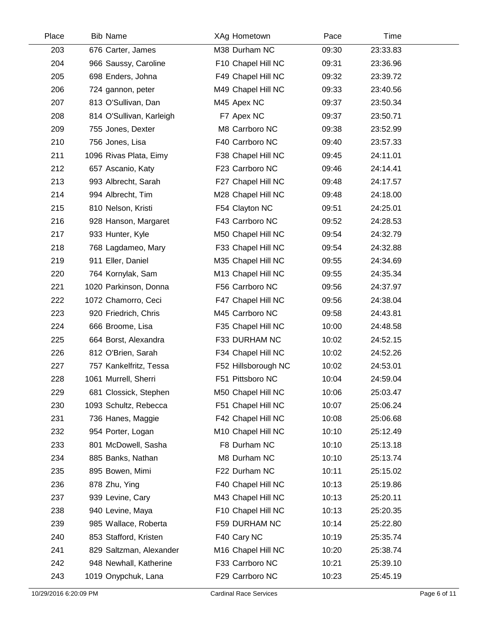| Place | <b>Bib Name</b>          | XAg Hometown        | Pace  | Time     |  |
|-------|--------------------------|---------------------|-------|----------|--|
| 203   | 676 Carter, James        | M38 Durham NC       | 09:30 | 23:33.83 |  |
| 204   | 966 Saussy, Caroline     | F10 Chapel Hill NC  | 09:31 | 23:36.96 |  |
| 205   | 698 Enders, Johna        | F49 Chapel Hill NC  | 09:32 | 23:39.72 |  |
| 206   | 724 gannon, peter        | M49 Chapel Hill NC  | 09:33 | 23:40.56 |  |
| 207   | 813 O'Sullivan, Dan      | M45 Apex NC         | 09:37 | 23:50.34 |  |
| 208   | 814 O'Sullivan, Karleigh | F7 Apex NC          | 09:37 | 23:50.71 |  |
| 209   | 755 Jones, Dexter        | M8 Carrboro NC      | 09:38 | 23:52.99 |  |
| 210   | 756 Jones, Lisa          | F40 Carrboro NC     | 09:40 | 23:57.33 |  |
| 211   | 1096 Rivas Plata, Eimy   | F38 Chapel Hill NC  | 09:45 | 24:11.01 |  |
| 212   | 657 Ascanio, Katy        | F23 Carrboro NC     | 09:46 | 24:14.41 |  |
| 213   | 993 Albrecht, Sarah      | F27 Chapel Hill NC  | 09:48 | 24:17.57 |  |
| 214   | 994 Albrecht, Tim        | M28 Chapel Hill NC  | 09:48 | 24:18.00 |  |
| 215   | 810 Nelson, Kristi       | F54 Clayton NC      | 09:51 | 24:25.01 |  |
| 216   | 928 Hanson, Margaret     | F43 Carrboro NC     | 09:52 | 24:28.53 |  |
| 217   | 933 Hunter, Kyle         | M50 Chapel Hill NC  | 09:54 | 24:32.79 |  |
| 218   | 768 Lagdameo, Mary       | F33 Chapel Hill NC  | 09:54 | 24:32.88 |  |
| 219   | 911 Eller, Daniel        | M35 Chapel Hill NC  | 09:55 | 24:34.69 |  |
| 220   | 764 Kornylak, Sam        | M13 Chapel Hill NC  | 09:55 | 24:35.34 |  |
| 221   | 1020 Parkinson, Donna    | F56 Carrboro NC     | 09:56 | 24:37.97 |  |
| 222   | 1072 Chamorro, Ceci      | F47 Chapel Hill NC  | 09:56 | 24:38.04 |  |
| 223   | 920 Friedrich, Chris     | M45 Carrboro NC     | 09:58 | 24:43.81 |  |
| 224   | 666 Broome, Lisa         | F35 Chapel Hill NC  | 10:00 | 24:48.58 |  |
| 225   | 664 Borst, Alexandra     | F33 DURHAM NC       | 10:02 | 24:52.15 |  |
| 226   | 812 O'Brien, Sarah       | F34 Chapel Hill NC  | 10:02 | 24:52.26 |  |
| 227   | 757 Kankelfritz, Tessa   | F52 Hillsborough NC | 10:02 | 24:53.01 |  |
| 228   | 1061 Murrell, Sherri     | F51 Pittsboro NC    | 10:04 | 24:59.04 |  |
| 229   | 681 Clossick, Stephen    | M50 Chapel Hill NC  | 10:06 | 25:03.47 |  |
| 230   | 1093 Schultz, Rebecca    | F51 Chapel Hill NC  | 10:07 | 25:06.24 |  |
| 231   | 736 Hanes, Maggie        | F42 Chapel Hill NC  | 10:08 | 25:06.68 |  |
| 232   | 954 Porter, Logan        | M10 Chapel Hill NC  | 10:10 | 25:12.49 |  |
| 233   | 801 McDowell, Sasha      | F8 Durham NC        | 10:10 | 25:13.18 |  |
| 234   | 885 Banks, Nathan        | M8 Durham NC        | 10:10 | 25:13.74 |  |
| 235   | 895 Bowen, Mimi          | F22 Durham NC       | 10:11 | 25:15.02 |  |
| 236   | 878 Zhu, Ying            | F40 Chapel Hill NC  | 10:13 | 25:19.86 |  |
| 237   | 939 Levine, Cary         | M43 Chapel Hill NC  | 10:13 | 25:20.11 |  |
| 238   | 940 Levine, Maya         | F10 Chapel Hill NC  | 10:13 | 25:20.35 |  |
| 239   | 985 Wallace, Roberta     | F59 DURHAM NC       | 10:14 | 25:22.80 |  |
| 240   | 853 Stafford, Kristen    | F40 Cary NC         | 10:19 | 25:35.74 |  |
| 241   | 829 Saltzman, Alexander  | M16 Chapel Hill NC  | 10:20 | 25:38.74 |  |
| 242   | 948 Newhall, Katherine   | F33 Carrboro NC     | 10:21 | 25:39.10 |  |
| 243   | 1019 Onypchuk, Lana      | F29 Carrboro NC     | 10:23 | 25:45.19 |  |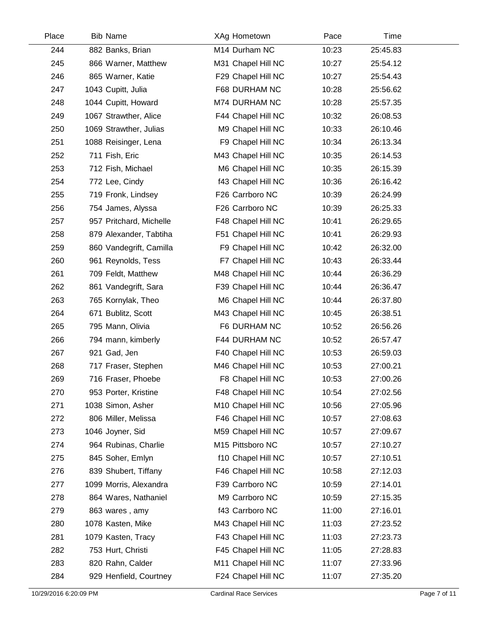| Place | <b>Bib Name</b>         | XAg Hometown       | Pace  | Time     |  |
|-------|-------------------------|--------------------|-------|----------|--|
| 244   | 882 Banks, Brian        | M14 Durham NC      | 10:23 | 25:45.83 |  |
| 245   | 866 Warner, Matthew     | M31 Chapel Hill NC | 10:27 | 25:54.12 |  |
| 246   | 865 Warner, Katie       | F29 Chapel Hill NC | 10:27 | 25:54.43 |  |
| 247   | 1043 Cupitt, Julia      | F68 DURHAM NC      | 10:28 | 25:56.62 |  |
| 248   | 1044 Cupitt, Howard     | M74 DURHAM NC      | 10:28 | 25:57.35 |  |
| 249   | 1067 Strawther, Alice   | F44 Chapel Hill NC | 10:32 | 26:08.53 |  |
| 250   | 1069 Strawther, Julias  | M9 Chapel Hill NC  | 10:33 | 26:10.46 |  |
| 251   | 1088 Reisinger, Lena    | F9 Chapel Hill NC  | 10:34 | 26:13.34 |  |
| 252   | 711 Fish, Eric          | M43 Chapel Hill NC | 10:35 | 26:14.53 |  |
| 253   | 712 Fish, Michael       | M6 Chapel Hill NC  | 10:35 | 26:15.39 |  |
| 254   | 772 Lee, Cindy          | f43 Chapel Hill NC | 10:36 | 26:16.42 |  |
| 255   | 719 Fronk, Lindsey      | F26 Carrboro NC    | 10:39 | 26:24.99 |  |
| 256   | 754 James, Alyssa       | F26 Carrboro NC    | 10:39 | 26:25.33 |  |
| 257   | 957 Pritchard, Michelle | F48 Chapel Hill NC | 10:41 | 26:29.65 |  |
| 258   | 879 Alexander, Tabtiha  | F51 Chapel Hill NC | 10:41 | 26:29.93 |  |
| 259   | 860 Vandegrift, Camilla | F9 Chapel Hill NC  | 10:42 | 26:32.00 |  |
| 260   | 961 Reynolds, Tess      | F7 Chapel Hill NC  | 10:43 | 26:33.44 |  |
| 261   | 709 Feldt, Matthew      | M48 Chapel Hill NC | 10:44 | 26:36.29 |  |
| 262   | 861 Vandegrift, Sara    | F39 Chapel Hill NC | 10:44 | 26:36.47 |  |
| 263   | 765 Kornylak, Theo      | M6 Chapel Hill NC  | 10:44 | 26:37.80 |  |
| 264   | 671 Bublitz, Scott      | M43 Chapel Hill NC | 10:45 | 26:38.51 |  |
| 265   | 795 Mann, Olivia        | F6 DURHAM NC       | 10:52 | 26:56.26 |  |
| 266   | 794 mann, kimberly      | F44 DURHAM NC      | 10:52 | 26:57.47 |  |
| 267   | 921 Gad, Jen            | F40 Chapel Hill NC | 10:53 | 26:59.03 |  |
| 268   | 717 Fraser, Stephen     | M46 Chapel Hill NC | 10:53 | 27:00.21 |  |
| 269   | 716 Fraser, Phoebe      | F8 Chapel Hill NC  | 10:53 | 27:00.26 |  |
| 270   | 953 Porter, Kristine    | F48 Chapel Hill NC | 10:54 | 27:02.56 |  |
| 271   | 1038 Simon, Asher       | M10 Chapel Hill NC | 10:56 | 27:05.96 |  |
| 272   | 806 Miller, Melissa     | F46 Chapel Hill NC | 10:57 | 27:08.63 |  |
| 273   | 1046 Joyner, Sid        | M59 Chapel Hill NC | 10:57 | 27:09.67 |  |
| 274   | 964 Rubinas, Charlie    | M15 Pittsboro NC   | 10:57 | 27:10.27 |  |
| 275   | 845 Soher, Emlyn        | f10 Chapel Hill NC | 10:57 | 27:10.51 |  |
| 276   | 839 Shubert, Tiffany    | F46 Chapel Hill NC | 10:58 | 27:12.03 |  |
| 277   | 1099 Morris, Alexandra  | F39 Carrboro NC    | 10:59 | 27:14.01 |  |
| 278   | 864 Wares, Nathaniel    | M9 Carrboro NC     | 10:59 | 27:15.35 |  |
| 279   | 863 wares, amy          | f43 Carrboro NC    | 11:00 | 27:16.01 |  |
| 280   | 1078 Kasten, Mike       | M43 Chapel Hill NC | 11:03 | 27:23.52 |  |
| 281   | 1079 Kasten, Tracy      | F43 Chapel Hill NC | 11:03 | 27:23.73 |  |
| 282   | 753 Hurt, Christi       | F45 Chapel Hill NC | 11:05 | 27:28.83 |  |
| 283   | 820 Rahn, Calder        | M11 Chapel Hill NC | 11:07 | 27:33.96 |  |
| 284   | 929 Henfield, Courtney  | F24 Chapel Hill NC | 11:07 | 27:35.20 |  |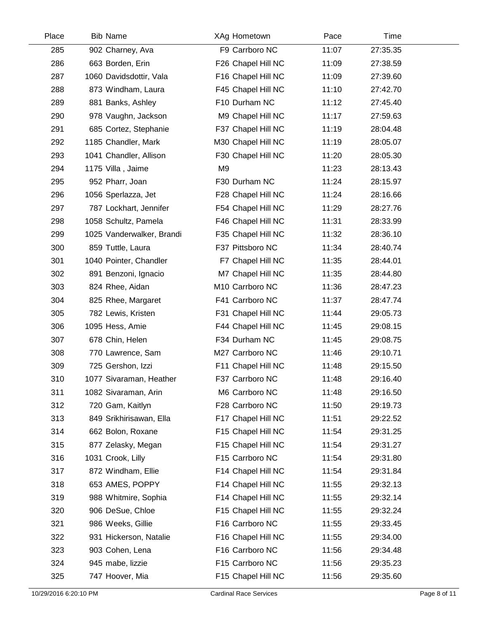| Place | <b>Bib Name</b>           | XAg Hometown       | Pace  | Time     |  |
|-------|---------------------------|--------------------|-------|----------|--|
| 285   | 902 Charney, Ava          | F9 Carrboro NC     | 11:07 | 27:35.35 |  |
| 286   | 663 Borden, Erin          | F26 Chapel Hill NC | 11:09 | 27:38.59 |  |
| 287   | 1060 Davidsdottir, Vala   | F16 Chapel Hill NC | 11:09 | 27:39.60 |  |
| 288   | 873 Windham, Laura        | F45 Chapel Hill NC | 11:10 | 27:42.70 |  |
| 289   | 881 Banks, Ashley         | F10 Durham NC      | 11:12 | 27:45.40 |  |
| 290   | 978 Vaughn, Jackson       | M9 Chapel Hill NC  | 11:17 | 27:59.63 |  |
| 291   | 685 Cortez, Stephanie     | F37 Chapel Hill NC | 11:19 | 28:04.48 |  |
| 292   | 1185 Chandler, Mark       | M30 Chapel Hill NC | 11:19 | 28:05.07 |  |
| 293   | 1041 Chandler, Allison    | F30 Chapel Hill NC | 11:20 | 28:05.30 |  |
| 294   | 1175 Villa, Jaime         | M <sub>9</sub>     | 11:23 | 28:13.43 |  |
| 295   | 952 Pharr, Joan           | F30 Durham NC      | 11:24 | 28:15.97 |  |
| 296   | 1056 Sperlazza, Jet       | F28 Chapel Hill NC | 11:24 | 28:16.66 |  |
| 297   | 787 Lockhart, Jennifer    | F54 Chapel Hill NC | 11:29 | 28:27.76 |  |
| 298   | 1058 Schultz, Pamela      | F46 Chapel Hill NC | 11:31 | 28:33.99 |  |
| 299   | 1025 Vanderwalker, Brandi | F35 Chapel Hill NC | 11:32 | 28:36.10 |  |
| 300   | 859 Tuttle, Laura         | F37 Pittsboro NC   | 11:34 | 28:40.74 |  |
| 301   | 1040 Pointer, Chandler    | F7 Chapel Hill NC  | 11:35 | 28:44.01 |  |
| 302   | 891 Benzoni, Ignacio      | M7 Chapel Hill NC  | 11:35 | 28:44.80 |  |
| 303   | 824 Rhee, Aidan           | M10 Carrboro NC    | 11:36 | 28:47.23 |  |
| 304   | 825 Rhee, Margaret        | F41 Carrboro NC    | 11:37 | 28:47.74 |  |
| 305   | 782 Lewis, Kristen        | F31 Chapel Hill NC | 11:44 | 29:05.73 |  |
| 306   | 1095 Hess, Amie           | F44 Chapel Hill NC | 11:45 | 29:08.15 |  |
| 307   | 678 Chin, Helen           | F34 Durham NC      | 11:45 | 29:08.75 |  |
| 308   | 770 Lawrence, Sam         | M27 Carrboro NC    | 11:46 | 29:10.71 |  |
| 309   | 725 Gershon, Izzi         | F11 Chapel Hill NC | 11:48 | 29:15.50 |  |
| 310   | 1077 Sivaraman, Heather   | F37 Carrboro NC    | 11:48 | 29:16.40 |  |
| 311   | 1082 Sivaraman, Arin      | M6 Carrboro NC     | 11:48 | 29:16.50 |  |
| 312   | 720 Gam, Kaitlyn          | F28 Carrboro NC    | 11:50 | 29:19.73 |  |
| 313   | 849 Srikhirisawan, Ella   | F17 Chapel Hill NC | 11:51 | 29:22.52 |  |
| 314   | 662 Bolon, Roxane         | F15 Chapel Hill NC | 11:54 | 29:31.25 |  |
| 315   | 877 Zelasky, Megan        | F15 Chapel Hill NC | 11:54 | 29:31.27 |  |
| 316   | 1031 Crook, Lilly         | F15 Carrboro NC    | 11:54 | 29:31.80 |  |
| 317   | 872 Windham, Ellie        | F14 Chapel Hill NC | 11:54 | 29:31.84 |  |
| 318   | 653 AMES, POPPY           | F14 Chapel Hill NC | 11:55 | 29:32.13 |  |
| 319   | 988 Whitmire, Sophia      | F14 Chapel Hill NC | 11:55 | 29:32.14 |  |
| 320   | 906 DeSue, Chloe          | F15 Chapel Hill NC | 11:55 | 29:32.24 |  |
| 321   | 986 Weeks, Gillie         | F16 Carrboro NC    | 11:55 | 29:33.45 |  |
| 322   | 931 Hickerson, Natalie    | F16 Chapel Hill NC | 11:55 | 29:34.00 |  |
| 323   | 903 Cohen, Lena           | F16 Carrboro NC    | 11:56 | 29:34.48 |  |
| 324   | 945 mabe, lizzie          | F15 Carrboro NC    | 11:56 | 29:35.23 |  |
| 325   | 747 Hoover, Mia           | F15 Chapel Hill NC | 11:56 | 29:35.60 |  |
|       |                           |                    |       |          |  |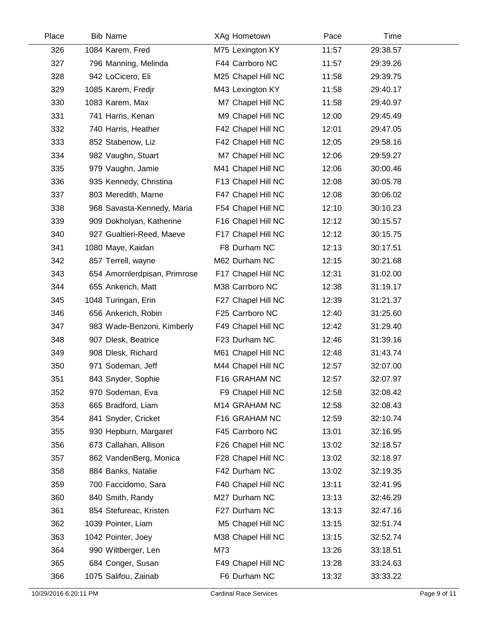| Place | <b>Bib Name</b>              | XAg Hometown       | Pace  | Time     |  |
|-------|------------------------------|--------------------|-------|----------|--|
| 326   | 1084 Karem, Fred             | M75 Lexington KY   | 11:57 | 29:38.57 |  |
| 327   | 796 Manning, Melinda         | F44 Carrboro NC    | 11:57 | 29:39.26 |  |
| 328   | 942 LoCicero, Eli            | M25 Chapel Hill NC | 11:58 | 29:39.75 |  |
| 329   | 1085 Karem, Fredjr           | M43 Lexington KY   | 11:58 | 29:40.17 |  |
| 330   | 1083 Karem, Max              | M7 Chapel Hill NC  | 11:58 | 29:40.97 |  |
| 331   | 741 Harris, Kenan            | M9 Chapel Hill NC  | 12:00 | 29:45.49 |  |
| 332   | 740 Harris, Heather          | F42 Chapel Hill NC | 12:01 | 29:47.05 |  |
| 333   | 852 Stabenow, Liz            | F42 Chapel Hill NC | 12:05 | 29:58.16 |  |
| 334   | 982 Vaughn, Stuart           | M7 Chapel Hill NC  | 12:06 | 29:59.27 |  |
| 335   | 979 Vaughn, Jamie            | M41 Chapel Hill NC | 12:06 | 30:00.46 |  |
| 336   | 935 Kennedy, Christina       | F13 Chapel Hill NC | 12:08 | 30:05.78 |  |
| 337   | 803 Meredith, Marne          | F47 Chapel Hill NC | 12:08 | 30:06.02 |  |
| 338   | 968 Savasta-Kennedy, Maria   | F54 Chapel Hill NC | 12:10 | 30:10.23 |  |
| 339   | 909 Dokholyan, Katherine     | F16 Chapel Hill NC | 12:12 | 30:15.57 |  |
| 340   | 927 Gualtieri-Reed, Maeve    | F17 Chapel Hill NC | 12:12 | 30:15.75 |  |
| 341   | 1080 Maye, Kaidan            | F8 Durham NC       | 12:13 | 30:17.51 |  |
| 342   | 857 Terrell, wayne           | M62 Durham NC      | 12:15 | 30:21.68 |  |
| 343   | 654 Amornlerdpisan, Primrose | F17 Chapel Hill NC | 12:31 | 31:02.00 |  |
| 344   | 655 Ankerich, Matt           | M38 Carrboro NC    | 12:38 | 31:19.17 |  |
| 345   | 1048 Turingan, Erin          | F27 Chapel Hill NC | 12:39 | 31:21.37 |  |
| 346   | 656 Ankerich, Robin          | F25 Carrboro NC    | 12:40 | 31:25.60 |  |
| 347   | 983 Wade-Benzoni, Kimberly   | F49 Chapel Hill NC | 12:42 | 31:29.40 |  |
| 348   | 907 Dlesk, Beatrice          | F23 Durham NC      | 12:46 | 31:39.16 |  |
| 349   | 908 Dlesk, Richard           | M61 Chapel Hill NC | 12:48 | 31:43.74 |  |
| 350   | 971 Sodeman, Jeff            | M44 Chapel Hill NC | 12:57 | 32:07.00 |  |
| 351   | 843 Snyder, Sophie           | F16 GRAHAM NC      | 12:57 | 32:07.97 |  |
| 352   | 970 Sodeman, Eva             | F9 Chapel Hill NC  | 12:58 | 32:08.42 |  |
| 353   | 665 Bradford, Liam           | M14 GRAHAM NC      | 12:58 | 32:08.43 |  |
| 354   | 841 Snyder, Cricket          | F16 GRAHAM NC      | 12:59 | 32:10.74 |  |
| 355   | 930 Hepburn, Margaret        | F45 Carrboro NC    | 13:01 | 32:16.95 |  |
| 356   | 673 Callahan, Allison        | F26 Chapel Hill NC | 13:02 | 32:18.57 |  |
| 357   | 862 VandenBerg, Monica       | F28 Chapel Hill NC | 13:02 | 32:18.97 |  |
| 358   | 884 Banks, Natalie           | F42 Durham NC      | 13:02 | 32:19.35 |  |
| 359   | 700 Faccidomo, Sara          | F40 Chapel Hill NC | 13:11 | 32:41.95 |  |
| 360   | 840 Smith, Randy             | M27 Durham NC      | 13:13 | 32:46.29 |  |
| 361   | 854 Stefureac, Kristen       | F27 Durham NC      | 13:13 | 32:47.16 |  |
| 362   | 1039 Pointer, Liam           | M5 Chapel Hill NC  | 13:15 | 32:51.74 |  |
| 363   | 1042 Pointer, Joey           | M38 Chapel Hill NC | 13:15 | 32:52.74 |  |
| 364   | 990 Wiltberger, Len          | M73                | 13:26 | 33:18.51 |  |
| 365   | 684 Conger, Susan            | F49 Chapel Hill NC | 13:28 | 33:24.63 |  |
| 366   | 1075 Salifou, Zainab         | F6 Durham NC       | 13:32 | 33:33.22 |  |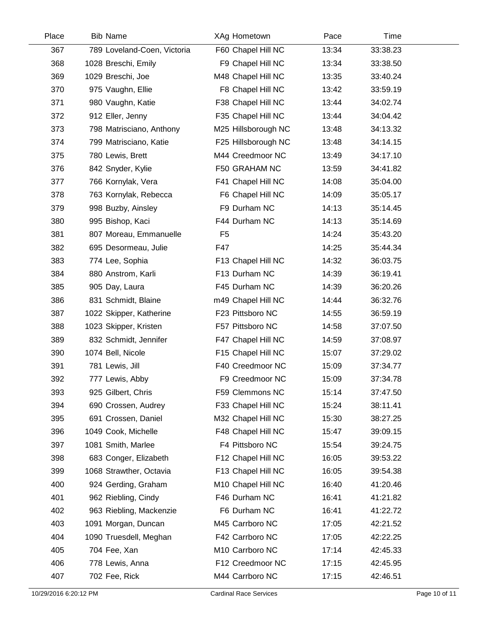| Place | <b>Bib Name</b>             | XAg Hometown        | Pace  | Time     |  |
|-------|-----------------------------|---------------------|-------|----------|--|
| 367   | 789 Loveland-Coen, Victoria | F60 Chapel Hill NC  | 13:34 | 33:38.23 |  |
| 368   | 1028 Breschi, Emily         | F9 Chapel Hill NC   | 13:34 | 33:38.50 |  |
| 369   | 1029 Breschi, Joe           | M48 Chapel Hill NC  | 13:35 | 33:40.24 |  |
| 370   | 975 Vaughn, Ellie           | F8 Chapel Hill NC   | 13:42 | 33:59.19 |  |
| 371   | 980 Vaughn, Katie           | F38 Chapel Hill NC  | 13:44 | 34:02.74 |  |
| 372   | 912 Eller, Jenny            | F35 Chapel Hill NC  | 13:44 | 34:04.42 |  |
| 373   | 798 Matrisciano, Anthony    | M25 Hillsborough NC | 13:48 | 34:13.32 |  |
| 374   | 799 Matrisciano, Katie      | F25 Hillsborough NC | 13:48 | 34:14.15 |  |
| 375   | 780 Lewis, Brett            | M44 Creedmoor NC    | 13:49 | 34:17.10 |  |
| 376   | 842 Snyder, Kylie           | F50 GRAHAM NC       | 13:59 | 34:41.82 |  |
| 377   | 766 Kornylak, Vera          | F41 Chapel Hill NC  | 14:08 | 35:04.00 |  |
| 378   | 763 Kornylak, Rebecca       | F6 Chapel Hill NC   | 14:09 | 35:05.17 |  |
| 379   | 998 Buzby, Ainsley          | F9 Durham NC        | 14:13 | 35:14.45 |  |
| 380   | 995 Bishop, Kaci            | F44 Durham NC       | 14:13 | 35:14.69 |  |
| 381   | 807 Moreau, Emmanuelle      | F <sub>5</sub>      | 14:24 | 35:43.20 |  |
| 382   | 695 Desormeau, Julie        | F47                 | 14:25 | 35:44.34 |  |
| 383   | 774 Lee, Sophia             | F13 Chapel Hill NC  | 14:32 | 36:03.75 |  |
| 384   | 880 Anstrom, Karli          | F13 Durham NC       | 14:39 | 36:19.41 |  |
| 385   | 905 Day, Laura              | F45 Durham NC       | 14:39 | 36:20.26 |  |
| 386   | 831 Schmidt, Blaine         | m49 Chapel Hill NC  | 14:44 | 36:32.76 |  |
| 387   | 1022 Skipper, Katherine     | F23 Pittsboro NC    | 14:55 | 36:59.19 |  |
| 388   | 1023 Skipper, Kristen       | F57 Pittsboro NC    | 14:58 | 37:07.50 |  |
| 389   | 832 Schmidt, Jennifer       | F47 Chapel Hill NC  | 14:59 | 37:08.97 |  |
| 390   | 1074 Bell, Nicole           | F15 Chapel Hill NC  | 15:07 | 37:29.02 |  |
| 391   | 781 Lewis, Jill             | F40 Creedmoor NC    | 15:09 | 37:34.77 |  |
| 392   | 777 Lewis, Abby             | F9 Creedmoor NC     | 15:09 | 37:34.78 |  |
| 393   | 925 Gilbert, Chris          | F59 Clemmons NC     | 15:14 | 37:47.50 |  |
| 394   | 690 Crossen, Audrey         | F33 Chapel Hill NC  | 15:24 | 38:11.41 |  |
| 395   | 691 Crossen, Daniel         | M32 Chapel Hill NC  | 15:30 | 38:27.25 |  |
| 396   | 1049 Cook, Michelle         | F48 Chapel Hill NC  | 15:47 | 39:09.15 |  |
| 397   | 1081 Smith, Marlee          | F4 Pittsboro NC     | 15:54 | 39:24.75 |  |
| 398   | 683 Conger, Elizabeth       | F12 Chapel Hill NC  | 16:05 | 39:53.22 |  |
| 399   | 1068 Strawther, Octavia     | F13 Chapel Hill NC  | 16:05 | 39:54.38 |  |
| 400   | 924 Gerding, Graham         | M10 Chapel Hill NC  | 16:40 | 41:20.46 |  |
| 401   | 962 Riebling, Cindy         | F46 Durham NC       | 16:41 | 41:21.82 |  |
| 402   | 963 Riebling, Mackenzie     | F6 Durham NC        | 16:41 | 41:22.72 |  |
| 403   | 1091 Morgan, Duncan         | M45 Carrboro NC     | 17:05 | 42:21.52 |  |
| 404   | 1090 Truesdell, Meghan      | F42 Carrboro NC     | 17:05 | 42:22.25 |  |
| 405   | 704 Fee, Xan                | M10 Carrboro NC     | 17:14 | 42:45.33 |  |
| 406   | 778 Lewis, Anna             | F12 Creedmoor NC    | 17:15 | 42:45.95 |  |
| 407   | 702 Fee, Rick               | M44 Carrboro NC     | 17:15 | 42:46.51 |  |